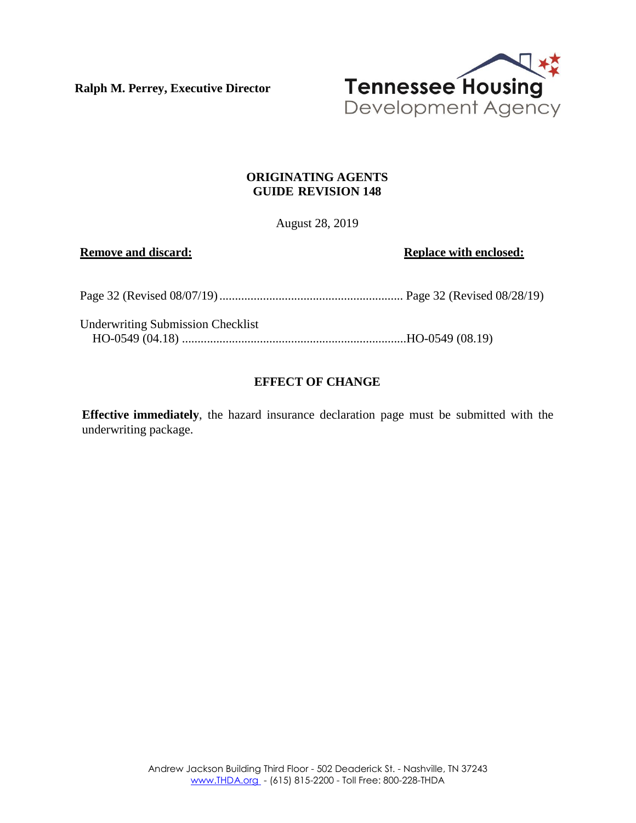**Ralph M. Perrey, Executive Director**



# **ORIGINATING AGENTS GUIDE REVISION 148**

August 28, 2019

**Remove** and discard: **Replace** with **enclosed: Replace** with **enclosed:** 

| <b>Underwriting Submission Checklist</b> |  |
|------------------------------------------|--|
|                                          |  |

# **EFFECT OF CHANGE**

**Effective immediately**, the hazard insurance declaration page must be submitted with the underwriting package.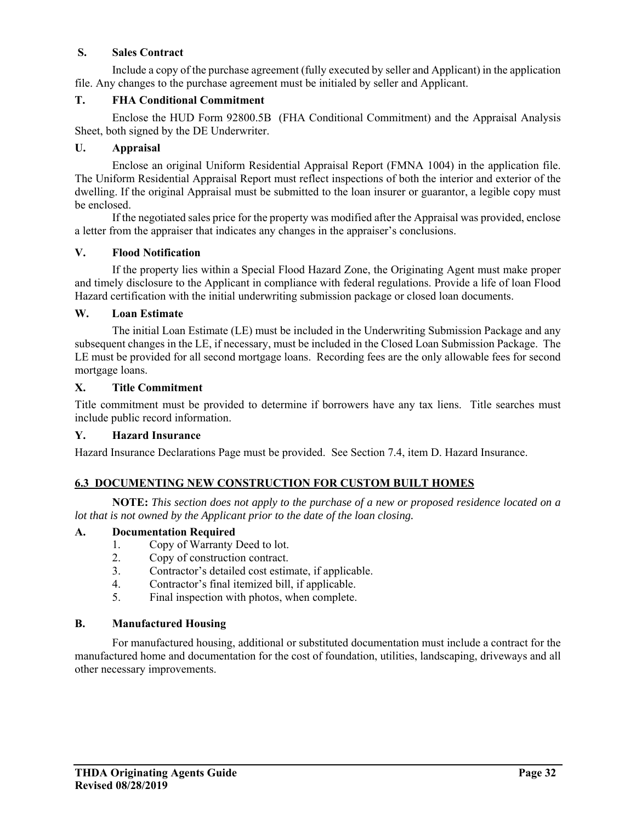# **S. Sales Contract**

Include a copy of the purchase agreement (fully executed by seller and Applicant) in the application file. Any changes to the purchase agreement must be initialed by seller and Applicant.

# **T. FHA Conditional Commitment**

Enclose the HUD Form 92800.5B (FHA Conditional Commitment) and the Appraisal Analysis Sheet, both signed by the DE Underwriter.

## **U. Appraisal**

Enclose an original Uniform Residential Appraisal Report (FMNA 1004) in the application file. The Uniform Residential Appraisal Report must reflect inspections of both the interior and exterior of the dwelling. If the original Appraisal must be submitted to the loan insurer or guarantor, a legible copy must be enclosed.

If the negotiated sales price for the property was modified after the Appraisal was provided, enclose a letter from the appraiser that indicates any changes in the appraiser's conclusions.

## **V. Flood Notification**

If the property lies within a Special Flood Hazard Zone, the Originating Agent must make proper and timely disclosure to the Applicant in compliance with federal regulations. Provide a life of loan Flood Hazard certification with the initial underwriting submission package or closed loan documents.

## **W. Loan Estimate**

 The initial Loan Estimate (LE) must be included in the Underwriting Submission Package and any subsequent changes in the LE, if necessary, must be included in the Closed Loan Submission Package. The LE must be provided for all second mortgage loans. Recording fees are the only allowable fees for second mortgage loans.

### **X. Title Commitment**

Title commitment must be provided to determine if borrowers have any tax liens. Title searches must include public record information.

### **Y. Hazard Insurance**

Hazard Insurance Declarations Page must be provided. See Section 7.4, item D. Hazard Insurance.

# **6.3 DOCUMENTING NEW CONSTRUCTION FOR CUSTOM BUILT HOMES**

**NOTE:** *This section does not apply to the purchase of a new or proposed residence located on a lot that is not owned by the Applicant prior to the date of the loan closing.* 

### **A. Documentation Required**

- 1. Copy of Warranty Deed to lot.
- 2. Copy of construction contract.
- 3. Contractor's detailed cost estimate, if applicable.
- 4. Contractor's final itemized bill, if applicable.
- 5. Final inspection with photos, when complete.

### **B. Manufactured Housing**

For manufactured housing, additional or substituted documentation must include a contract for the manufactured home and documentation for the cost of foundation, utilities, landscaping, driveways and all other necessary improvements.